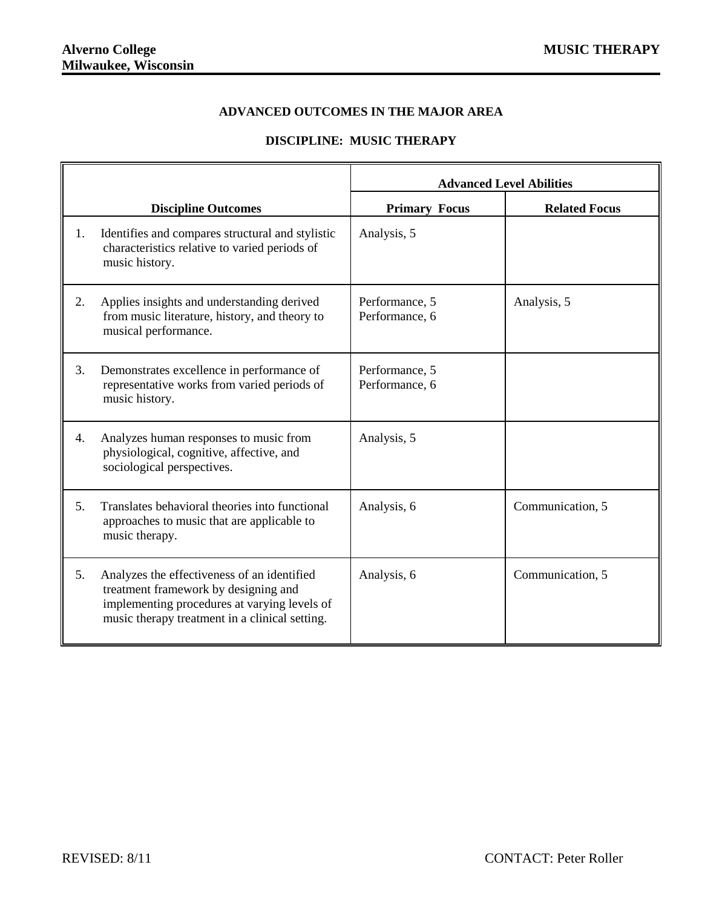## **ADVANCED OUTCOMES IN THE MAJOR AREA**

## **DISCIPLINE: MUSIC THERAPY**

|    |                                                                                                                                                                                       | <b>Advanced Level Abilities</b>  |                      |
|----|---------------------------------------------------------------------------------------------------------------------------------------------------------------------------------------|----------------------------------|----------------------|
|    | <b>Discipline Outcomes</b>                                                                                                                                                            | <b>Primary Focus</b>             | <b>Related Focus</b> |
| 1. | Identifies and compares structural and stylistic<br>characteristics relative to varied periods of<br>music history.                                                                   | Analysis, 5                      |                      |
| 2. | Applies insights and understanding derived<br>from music literature, history, and theory to<br>musical performance.                                                                   | Performance, 5<br>Performance, 6 | Analysis, 5          |
| 3. | Demonstrates excellence in performance of<br>representative works from varied periods of<br>music history.                                                                            | Performance, 5<br>Performance, 6 |                      |
| 4. | Analyzes human responses to music from<br>physiological, cognitive, affective, and<br>sociological perspectives.                                                                      | Analysis, 5                      |                      |
| 5. | Translates behavioral theories into functional<br>approaches to music that are applicable to<br>music therapy.                                                                        | Analysis, 6                      | Communication, 5     |
| 5. | Analyzes the effectiveness of an identified<br>treatment framework by designing and<br>implementing procedures at varying levels of<br>music therapy treatment in a clinical setting. | Analysis, 6                      | Communication, 5     |